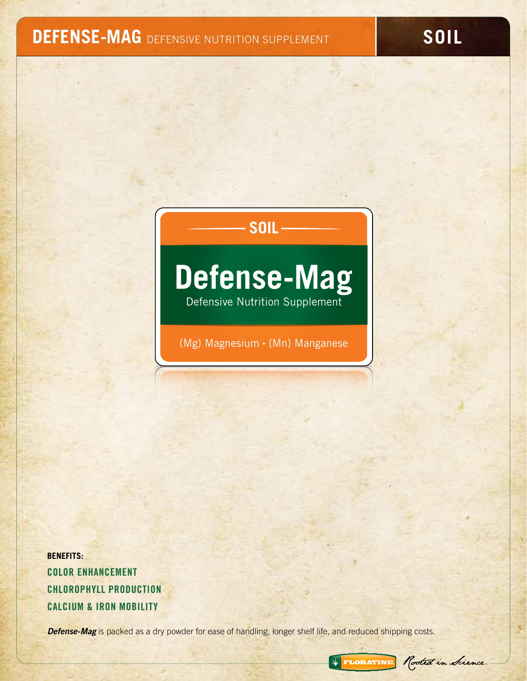# **DEFENSE-MAG** DEFENSIVE NUTRITION SUPPLEMENT **SOIL**

**SOIL**

# **Defense-Mag**

Defensive Nutrition Supplement

(Mg) Magnesium • (Mn) Manganese

**BENEFITS:** Color Enhancement Chlorophyll Production Calcium & Iron MobilitY

**Defense-Mag** is packed as a dry powder for ease of handling, longer shelf life, and reduced shipping costs.

Rooted in Sience.